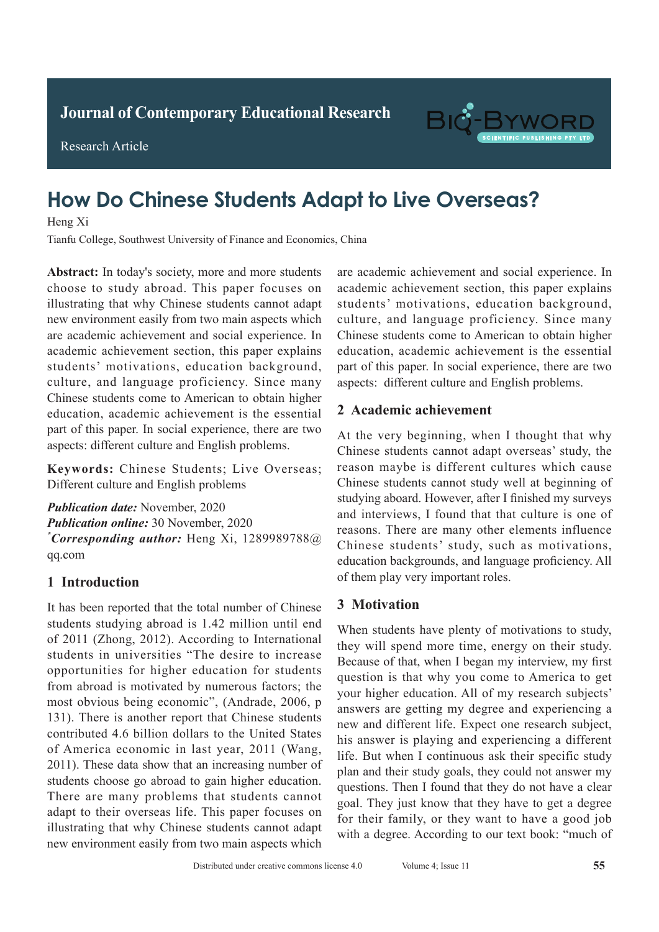

**Research Article** 

Research Article

# **How Do Chinese Students Adapt to Live Overseas? Diagnostic Value of Spiral Chest Englishers** Englishers Englishers Englishers Englishers Englishers Englishers Englishers Englishers Englishers Englishers Englishers Englishers Englishers Englishers Englishers Englishers

Heng Xi

**A** Heng X<sub>i</sub> Tianfu College, Southwest University of Finance and Economics, China

Abstract: In today's society, more and more students are academic achiev absolute that why Chinese students cannot adapt illustrating that why Chinese students cannot adapt mastrating that  $W_{IJ}$  chinese statents cannot duapt are academic achievement and social experience. In and data *and contentries* and *social* difference. *M*<br>academic achievement section, this paper explains students' motivations, education background, etalents motivations, calculion suckground,<br>culture, and language proficiency. Since many edition, and tanguage proficiency. Since many<br>Chinese students come to American to obtain higher education, academic achievement is the essential education, academic achievement is the essential part of this paper. In social experience, there are two part of this paper. In social experience, there are two aspects: different culture and English problems. choose to study abroad. This paper focuses on academic achievem

Keywords: Chinese Students; Live Overseas; Different culture and English problems  $\mathbf{v} = \mathbf{v} \cdot \mathbf{a}$  $\mathbf{r}$ tuberculosis sidne compared.

 $\overline{D}$  detection rate of spiral COC which was not spiral COC which was not spiral COC which was not spiral COC which was not spiral COC was not spiral COC was not spiral COC was not spiral CD was not spiral CD was not s **Publication date:** November, 2020 r *aducation offine*. *S*o indication, 2020<br>\* *C \*Corresponding author:* Heng Xi, 1289989788@  $\frac{f}{f}$ **Publication online: 30 November, 2020** qq.com

#### **1 Introduction**  $\frac{1}{2}$  and the accuracy rate of active of active of active of active of active of active of active of active of active of active of active of active of active of active of active of active of active of active of active

It has been reported that the total number of Chinese students studying abroad is 1.42 million until end  $\frac{2013}{100}$  abroad is 1.42 million until end of 2011 (Zhong, 2012). According to International students in universities "The desire to increase opportunities for higher education for students from abroad is motivated by numerous factors; the most obvious being economic", (Andrade, 2006, p 131). There is another report that Chinese students contributed 4.6 billion dollars to the United States of America economic in last year, 2011 (Wang, 2011). These data show that an increasing number of There are many problems that students cannot adapt to their overseas life. This paper focuses on illustrating that why Chinese students cannot adapt new environment easily from two main aspects which students choose go abroad to gain higher education.  $\frac{1}{2}$  ray of  $\frac{1}{2}$ ,  $\frac{1}{2}$ ,  $\frac{1}{2}$ ,  $\frac{1}{2}$ ,  $\frac{1}{2}$ ,  $\frac{1}{2}$ ,  $\frac{1}{2}$ ,  $\frac{1}{2}$ ,  $\frac{1}{2}$ ,  $\frac{1}{2}$ that of conventional chest X-ray of 79.31%. *P*<0.05). Students in universities ine desire to increase

students' motivations, education background, culture, and language proficiency. Since many<br>Chinese students come to American to obtain higher<br>education, academic achievement is the essential curture, and ranguage profiemely. Since many<br>Chinese students come to American to obtain higher education, academic achievement is the essential part of this paper. In social experience, there are two put of the puper, in social experience, there are two aspects: different culture and English problems. are academic achievement and social experience. In academic achievement section, this paper explains

#### 2 Academic achievement and the endanger patients in addition, patients in addition, patient is added to the contract of  $p$

At the very beginning, when I thought that why At the very beginning, when I thought that why<br>Chinese students cannot adapt overseas' study, the entities stateme cannot data provisions stately, the reason maybe is different cultures which cause reason maybe is different cultures which cause<br>Chinese students cannot study well at beginning of ennese students cannot study wen at eegmining or studying aboard. However, after I finished my surveys and interviews, I found that that culture is one of the diagnosis of tuberculosis, but its one of the processors. There are many other elements influence and interviews, I found that that culture is one of reasons. There are many other elements influence Chinese students' study, such as motivations, education backgrounds, and language proficiency. All of them play very important roles.  $\alpha$  is the gold standard former standard for  $\alpha$  $t_{\text{min}}$ tuberculosis of tuberculosis, but its operation is  $t_{\text{min}}$ comparison backgrounds, and tanguage protieted  $\epsilon$ .

#### 3 Motivation **advantage of and convenient**, economical, and convenient, and convenient, and convenient, and convenient, and convenient, and convenient, and convenient, and convenient, and convenient, and convenient, and co  $\mathbf{b}$  is detection rate of tuberculosis is low. Spiral CT under the spiral CT under the spiral CT under the spiral CT under the spiral CT under the spiral CT under the spiral CT under the spiral CT under the spiral CT

When students have plenty of motivations to study, when statems have pienty or motivations to staty, they will spend more time, energy on their study. they will spend more time, energy on their study.<br>Because of that, when I began my interview, my first  $\alpha$  is a spiral CT enhanced scan in a during section  $\alpha$ question is that why you come to America to get answers are getting my degree and experiencing a **1.1 Constraint interval increased in the methods** in the method and methods in the method is answer is playing and experiencing a different plan and their study goals, they could not answer my pull and their stady goals, they could not allswer my questions. Then I found that they do not have a clear for their family, or they want to have a good job for their family, or they want to have a good job convention all the CHEST CHEST CHEST CHEST CHEST CHEST CHEST CHEST CHEST CHEST CHEST CHEST CHEST CHEST CHEST CH with a degree. According to our text book: "much of your higher education. All of my research subjects' new and different life. Expect one research subject, life. But when I continuous ask their specific study goal. They just know that they have to get a degree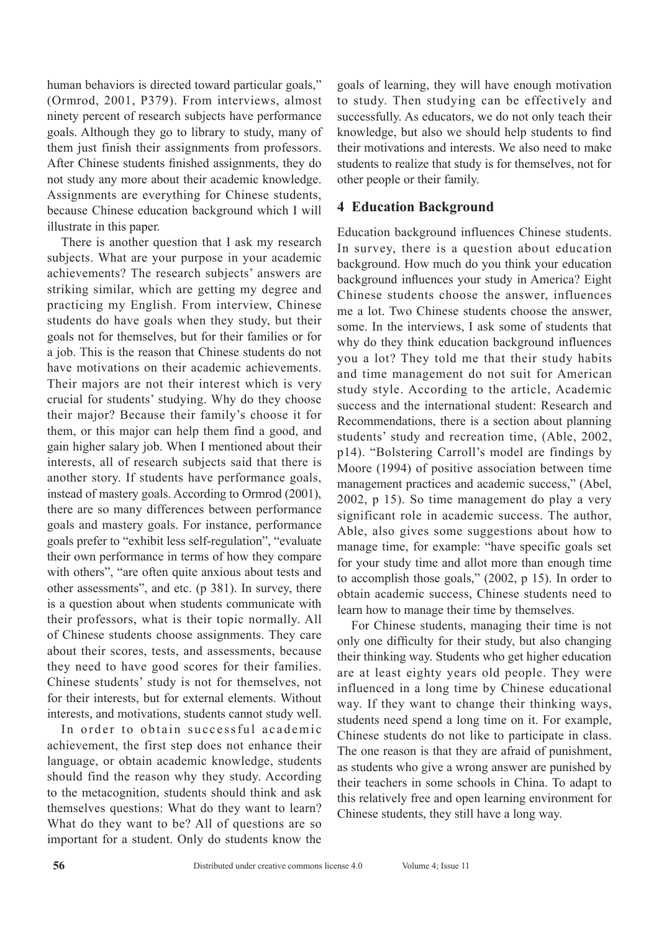human behaviors is directed toward particular goals," (Ormrod, 2001, P379). From interviews, almost ninety percent of research subjects have performance goals. Although they go to library to study, many of them just finish their assignments from professors. After Chinese students finished assignments, they do not study any more about their academic knowledge. Assignments are everything for Chinese students, because Chinese education background which I will illustrate in this paper.

There is another question that I ask my research subjects. What are your purpose in your academic achievements? The research subjects' answers are striking similar, which are getting my degree and practicing my English. From interview, Chinese students do have goals when they study, but their goals not for themselves, but for their families or for a job. This is the reason that Chinese students do not have motivations on their academic achievements. Their majors are not their interest which is very crucial for students' studying. Why do they choose their major? Because their family's choose it for them, or this major can help them find a good, and gain higher salary job. When I mentioned about their interests, all of research subjects said that there is another story. If students have performance goals, instead of mastery goals. According to Ormrod (2001), there are so many differences between performance goals and mastery goals. For instance, performance goals prefer to "exhibit less self-regulation", "evaluate their own performance in terms of how they compare with others", "are often quite anxious about tests and other assessments", and etc. (p 381). In survey, there is a question about when students communicate with their professors, what is their topic normally. All of Chinese students choose assignments. They care about their scores, tests, and assessments, because they need to have good scores for their families. Chinese students' study is not for themselves, not for their interests, but for external elements. Without interests, and motivations, students cannot study well.

In order to obtain successful academic achievement, the first step does not enhance their language, or obtain academic knowledge, students should find the reason why they study. According to the metacognition, students should think and ask themselves questions: What do they want to learn? What do they want to be? All of questions are so important for a student. Only do students know the

goals of learning, they will have enough motivation to study. Then studying can be effectively and successfully. As educators, we do not only teach their knowledge, but also we should help students to find their motivations and interests. We also need to make students to realize that study is for themselves, not for other people or their family.

# **4 Education Background**

Education background influences Chinese students. In survey, there is a question about education background. How much do you think your education background influences your study in America? Eight Chinese students choose the answer, influences me a lot. Two Chinese students choose the answer, some. In the interviews, I ask some of students that why do they think education background influences you a lot? They told me that their study habits and time management do not suit for American study style. According to the article, Academic success and the international student: Research and Recommendations, there is a section about planning students' study and recreation time, (Able, 2002, p14). "Bolstering Carroll's model are findings by Moore (1994) of positive association between time management practices and academic success," (Abel, 2002, p 15). So time management do play a very significant role in academic success. The author, Able, also gives some suggestions about how to manage time, for example: "have specific goals set for your study time and allot more than enough time to accomplish those goals," (2002, p 15). In order to obtain academic success, Chinese students need to learn how to manage their time by themselves.

For Chinese students, managing their time is not only one difficulty for their study, but also changing their thinking way. Students who get higher education are at least eighty years old people. They were influenced in a long time by Chinese educational way. If they want to change their thinking ways, students need spend a long time on it. For example, Chinese students do not like to participate in class. The one reason is that they are afraid of punishment, as students who give a wrong answer are punished by their teachers in some schools in China. To adapt to this relatively free and open learning environment for Chinese students, they still have a long way.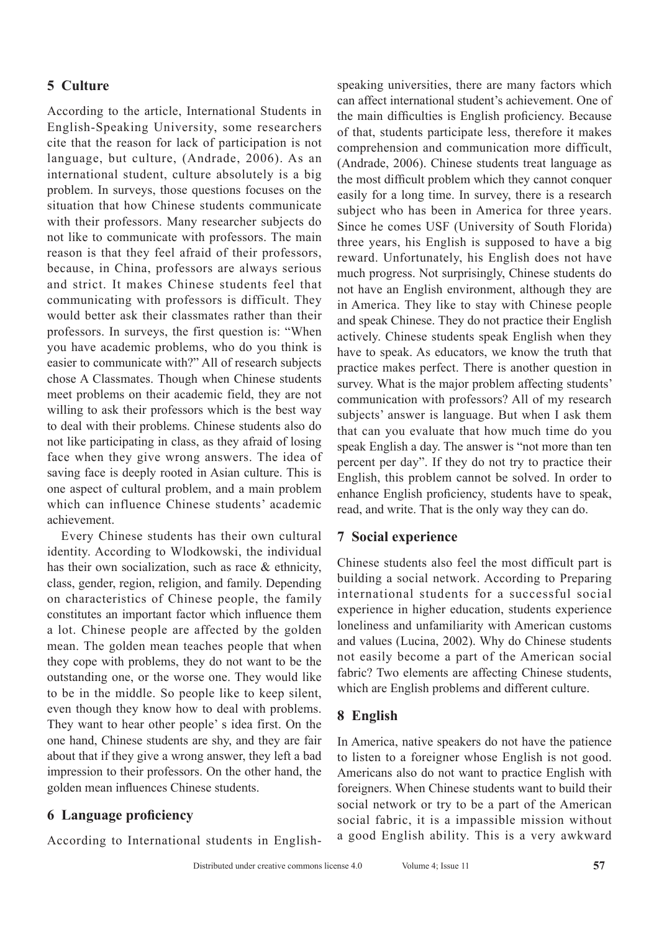# **5 Culture**

According to the article, International Students in English-Speaking University, some researchers cite that the reason for lack of participation is not language, but culture, (Andrade, 2006). As an international student, culture absolutely is a big problem. In surveys, those questions focuses on the situation that how Chinese students communicate with their professors. Many researcher subjects do not like to communicate with professors. The main reason is that they feel afraid of their professors, because, in China, professors are always serious and strict. It makes Chinese students feel that communicating with professors is difficult. They would better ask their classmates rather than their professors. In surveys, the first question is: "When you have academic problems, who do you think is easier to communicate with?" All of research subjects chose A Classmates. Though when Chinese students meet problems on their academic field, they are not willing to ask their professors which is the best way to deal with their problems. Chinese students also do not like participating in class, as they afraid of losing face when they give wrong answers. The idea of saving face is deeply rooted in Asian culture. This is one aspect of cultural problem, and a main problem which can influence Chinese students' academic achievement.

Every Chinese students has their own cultural identity. According to Wlodkowski, the individual has their own socialization, such as race & ethnicity, class, gender, region, religion, and family. Depending on characteristics of Chinese people, the family constitutes an important factor which influence them a lot. Chinese people are affected by the golden mean. The golden mean teaches people that when they cope with problems, they do not want to be the outstanding one, or the worse one. They would like to be in the middle. So people like to keep silent, even though they know how to deal with problems. They want to hear other people' s idea first. On the one hand, Chinese students are shy, and they are fair about that if they give a wrong answer, they left a bad impression to their professors. On the other hand, the golden mean influences Chinese students.

# **6 Language proficiency**

According to International students in English-

speaking universities, there are many factors which can affect international student's achievement. One of the main difficulties is English proficiency. Because of that, students participate less, therefore it makes comprehension and communication more difficult, (Andrade, 2006). Chinese students treat language as the most difficult problem which they cannot conquer easily for a long time. In survey, there is a research subject who has been in America for three years. Since he comes USF (University of South Florida) three years, his English is supposed to have a big reward. Unfortunately, his English does not have much progress. Not surprisingly, Chinese students do not have an English environment, although they are in America. They like to stay with Chinese people and speak Chinese. They do not practice their English actively. Chinese students speak English when they have to speak. As educators, we know the truth that practice makes perfect. There is another question in survey. What is the major problem affecting students' communication with professors? All of my research subjects' answer is language. But when I ask them that can you evaluate that how much time do you speak English a day. The answer is "not more than ten percent per day". If they do not try to practice their English, this problem cannot be solved. In order to enhance English proficiency, students have to speak, read, and write. That is the only way they can do.

## **7 Social experience**

Chinese students also feel the most difficult part is building a social network. According to Preparing international students for a successful social experience in higher education, students experience loneliness and unfamiliarity with American customs and values (Lucina, 2002). Why do Chinese students not easily become a part of the American social fabric? Two elements are affecting Chinese students, which are English problems and different culture.

# **8 English**

In America, native speakers do not have the patience to listen to a foreigner whose English is not good. Americans also do not want to practice English with foreigners. When Chinese students want to build their social network or try to be a part of the American social fabric, it is a impassible mission without a good English ability. This is a very awkward